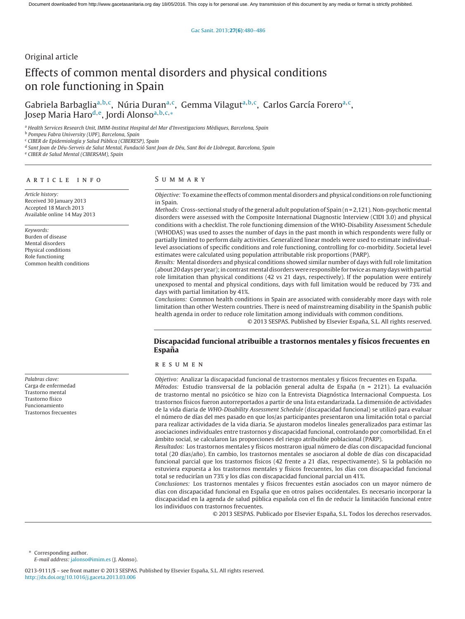# Original article

# Effects of common mental disorders and physical conditions on role functioning in Spain

Gabriela Barbaglia<sup>a,b,c</sup>, Núria Duran<sup>a,c</sup>, Gemma Vilagut<sup>a,b,c</sup>, Carlos García Forero<sup>a,c</sup>, Josep Maria Haro<sup>d,e</sup>, Jordi Alonso<sup>a,b,c,</sup>∗

a Health Services Research Unit, IMIM-Institut Hospital del Mar d'Investigacions Mèdiques, Barcelona, Spain

**b** Pompeu Fabra University (UPF), Barcelona, Spain

<sup>c</sup> CIBER de Epidemiología y Salud Pública (CIBERESP), Spain

<sup>d</sup> Sant Joan de Déu-Serveis de Salut Mental, Fundació Sant Joan de Déu, Sant Boi de Llobregat, Barcelona, Spain

<sup>e</sup> CIBER de Salud Mental (CIBERSAM), Spain

#### a r t i c l e i n f o

Article history: Received 30 January 2013 Accepted 18 March 2013 Available online 14 May 2013

Keywords: Burden of disease Mental disorders Physical conditions Role functioning Common health conditions

Palabras clave: Carga de enfermedad Trastorno mental Trastorno físico Funcionamiento Trastornos frecuentes

# S u m m a r y

Objective: To examine the effects of common mental disorders and physical conditions on role functioning in Spain.

Methods: Cross-sectional study of the general adult population of Spain (n = 2,121). Non-psychotic mental disorders were assessed with the Composite International Diagnostic Interview (CIDI 3.0) and physical conditions with a checklist. The role functioning dimension of the WHO-Disability Assessment Schedule (WHODAS) was used to asses the number of days in the past month in which respondents were fully or partially limited to perform daily activities. Generalized linear models were used to estimate individuallevel associations of specific conditions and role functioning, controlling for co-morbidity. Societal level estimates were calculated using population attributable risk proportions (PARP).

Results: Mental disorders and physical conditions showed similar number of days with full role limitation (about 20 days per year); in contrast mental disorders were responsible for twice as many days with partial role limitation than physical conditions (42 vs 21 days, respectively). If the population were entirely unexposed to mental and physical conditions, days with full limitation would be reduced by 73% and days with partial limitation by 41%.

Conclusions: Common health conditions in Spain are associated with considerably more days with role limitation than other Western countries. There is need of mainstreaming disability in the Spanish public health agenda in order to reduce role limitation among individuals with common conditions.

© 2013 SESPAS. Published by Elsevier España, S.L. All rights reserved.

# Discapacidad funcional atribuible a trastornos mentales y físicos frecuentes en España

### r e s u m e n

Objetivo: Analizar la discapacidad funcional de trastornos mentales y físicos frecuentes en Espana. ˜ Métodos: Estudio transversal de la población general adulta de España (n = 2121). La evaluación de trastorno mental no psicótico se hizo con la Entrevista Diagnóstica Internacional Compuesta. Los trastornos físicos fueron autorreportados a partir de una lista estandarizada. La dimensión de actividades de la vida diaria de WHO-Disability Assessment Schedule (discapacidad funcional) se utilizó para evaluar el número de días del mes pasado en que los/as participantes presentaron una limitación total o parcial para realizar actividades de la vida diaria. Se ajustaron modelos lineales generalizados para estimar las asociaciones individuales entre trastornos y discapacidad funcional, controlando por comorbilidad. En el ámbito social, se calcularon las proporciones del riesgo atribuible poblacional (PARP).

Resultados: Los trastornos mentales y físicos mostraron igual número de días con discapacidad funcional total (20 días/año). En cambio, los trastornos mentales se asociaron al doble de días con discapacidad funcional parcial que los trastornos físicos (42 frente a 21 días, respectivamente). Si la población no estuviera expuesta a los trastornos mentales y físicos frecuentes, los días con discapacidad funcional total se reducirían un 73% y los días con discapacidad funcional parcial un 41%.

Conclusiones: Los trastornos mentales y físicos frecuentes están asociados con un mayor número de días con discapacidad funcional en España que en otros países occidentales. Es necesario incorporar la discapacidad en la agenda de salud pública española con el fin de reducir la limitación funcional entre los individuos con trastornos frecuentes.

© 2013 SESPAS. Publicado por Elsevier España, S.L. Todos los derechos reservados.

Corresponding author. E-mail address: jalonso@imim.es (J. Alonso).

0213-9111/\$ – see front matter © 2013 SESPAS. Published by Elsevier España, S.L. All rights reserved. http://dx.doi.org/10.1016/j.gaceta.2013.03.006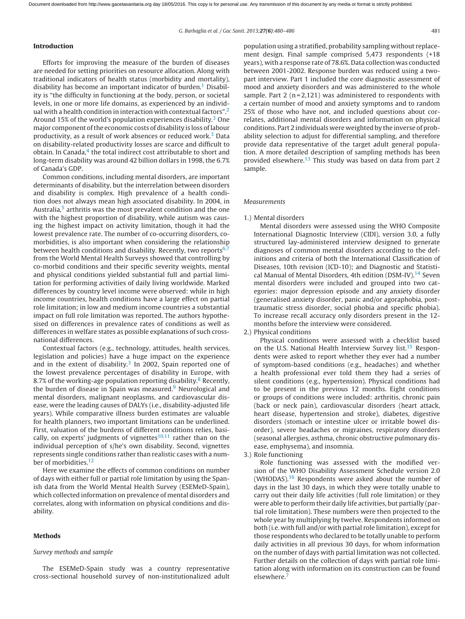#### Introduction

Efforts for improving the measure of the burden of diseases are needed for setting priorities on resource allocation. Along with traditional indicators of health status (morbidity and mortality), disability has become an important indicator of burden.<sup>1</sup> Disability is "the difficulty in functioning at the body, person, or societal levels, in one or more life domains, as experienced by an individual with a health condition in interaction with contextual factors".<sup>2</sup> Around 15% of the world's population experiences disability.<sup>3</sup> One major component ofthe economic costs of disability is loss oflabour productivity, as a result of work absences or reduced work.<sup>3</sup> Data on disability-related productivity losses are scarce and difficult to obtain. In Canada,<sup>4</sup> the total indirect cost attributable to short and long-term disability was around 42 billion dollars in 1998, the 6.7% of Canada's GDP.

Common conditions, including mental disorders, are important determinants of disability, but the interrelation between disorders and disability is complex. High prevalence of a health condition does not always mean high associated disability. In 2004, in Australia,<sup>5</sup> arthritis was the most prevalent condition and the one with the highest proportion of disability, while autism was causing the highest impact on activity limitation, though it had the lowest prevalence rate. The number of co-occurring disorders, comorbidities, is also important when considering the relationship between health conditions and disability. Recently, two reports $6,7$ from the World Mental Health Surveys showed that controlling by co-morbid conditions and their specific severity weights, mental and physical conditions yielded substantial full and partial limitation for performing activities of daily living worldwide. Marked differences by country level income were observed: while in high income countries, health conditions have a large effect on partial role limitation; in low and medium income countries a substantial impact on full role limitation was reported. The authors hypothesised on differences in prevalence rates of conditions as well as differences in welfare states as possible explanations of such crossnational differences.

Contextual factors (e.g., technology, attitudes, health services, legislation and policies) have a huge impact on the experience and in the extent of disability. $3 \text{ In } 2002$ , Spain reported one of the lowest prevalence percentages of disability in Europe, with 8.7% of the working-age population reporting disability.<sup>8</sup> Recently, the burden of disease in Spain was measured. $9$  Neurological and mental disorders, malignant neoplasms, and cardiovascular disease, were the leading causes of DALYs (i.e., disability-adjusted life years). While comparative illness burden estimates are valuable for health planners, two important limitations can be underlined. First, valuation of the burdens of different conditions relies, basically, on experts' judgments of vignettes $10,11$  rather than on the individual perception of s/he's own disability. Second, vignettes represents single conditions rather than realistic cases with a number of morbidities.<sup>12</sup>

Here we examine the effects of common conditions on number of days with either full or partial role limitation by using the Spanish data from the World Mental Health Survey (ESEMeD-Spain), which collected information on prevalence of mental disorders and correlates, along with information on physical conditions and disability.

#### Methods

#### Survey methods and sample

The ESEMeD-Spain study was a country representative cross-sectional household survey of non-institutionalized adult population using a stratified, probability sampling without replacement design. Final sample comprised 5,473 respondents (+18 years), with a response rate of 78.6%. Data collection was conducted between 2001-2002. Response burden was reduced using a twopart interview. Part 1 included the core diagnostic assessment of mood and anxiety disorders and was administered to the whole sample. Part  $2$  (n=2,121) was administered to respondents with a certain number of mood and anxiety symptoms and to random 25% of those who have not, and included questions about correlates, additional mental disorders and information on physical conditions. Part 2 individuals were weighted by the inverse of probability selection to adjust for differential sampling, and therefore provide data representative of the target adult general population. A more detailed description of sampling methods has been provided elsewhere.<sup>13</sup> This study was based on data from part 2 sample.

#### Measurements

1.) Mental disorders

Mental disorders were assessed using the WHO Composite International Diagnostic Interview (CIDI), version 3.0, a fully structured lay-administered interview designed to generate diagnoses of common mental disorders according to the definitions and criteria of both the International Classification of Diseases, 10th revision (ICD-10); and Diagnostic and Statistical Manual of Mental Disorders, 4th edition (DSM-IV).<sup>14</sup> Seven mental disorders were included and grouped into two categories: major depression episode and any anxiety disorder (generalised anxiety disorder, panic and/or agoraphobia, posttraumatic stress disorder, social phobia and specific phobia). To increase recall accuracy only disorders present in the 12 months before the interview were considered.

2.) Physical conditions

Physical conditions were assessed with a checklist based on the U.S. National Health Interview Survey list.<sup>15</sup> Respondents were asked to report whether they ever had a number of symptom-based conditions (e.g., headaches) and whether a health professional ever told them they had a series of silent conditions (e.g., hypertension). Physical conditions had to be present in the previous 12 months. Eight conditions or groups of conditions were included: arthritis, chronic pain (back or neck pain), cardiovascular disorders (heart attack, heart disease, hypertension and stroke), diabetes, digestive disorders (stomach or intestine ulcer or irritable bowel disorder), severe headaches or migraines, respiratory disorders (seasonal allergies, asthma, chronic obstructive pulmonary disease, emphysema), and insomnia.

3.) Role functioning

Role functioning was assessed with the modified version of the WHO Disability Assessment Schedule version 2.0 (WHODAS). $16$  Respondents were asked about the number of days in the last 30 days, in which they were totally unable to carry out their daily life activities (full role limitation) or they were able to perform their daily life activities, but partially (partial role limitation). These numbers were then projected to the whole year by multiplying by twelve. Respondents informed on both (i.e. with full and/or with partial role limitation), except for those respondents who declared to be totally unable to perform daily activities in all previous 30 days, for whom information on the number of days with partial limitation was not collected. Further details on the collection of days with partial role limitation along with information on its construction can be found elsewhere.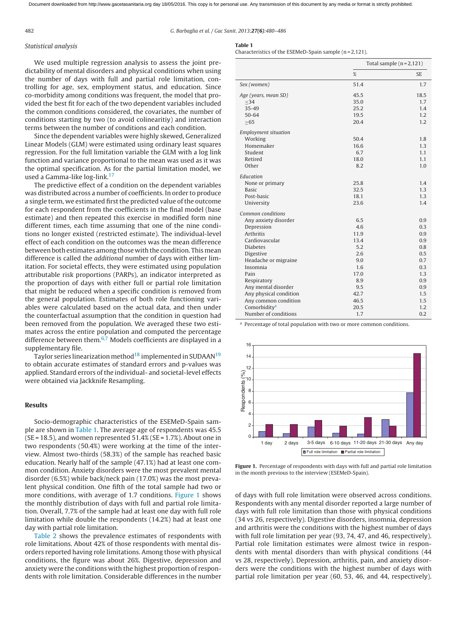Document downloaded from http://www.gacetasanitaria.org day 18/05/2016. This copy is for personal use. Any transmission of this document by any media or format is strictly prohibited.

482 G. Barbaglia et al. / Gac Sanit. 2013;27(6):480–486

#### Statistical analysis

We used multiple regression analysis to assess the joint predictability of mental disorders and physical conditions when using the number of days with full and partial role limitation, controlling for age, sex, employment status, and education. Since co-morbidity among conditions was frequent, the model that provided the best fit for each of the two dependent variables included the common conditions considered, the covariates, the number of conditions starting by two (to avoid colinearitiy) and interaction terms between the number of conditions and each condition.

Since the dependent variables were highly skewed, Generalized Linear Models (GLM) were estimated using ordinary least squares regression. For the full limitation variable the GLM with a log link function and variance proportional to the mean was used as it was the optimal specification. As for the partial limitation model, we used a Gamma-like log-link.<sup>17</sup>

The predictive effect of a condition on the dependent variables was distributed across a number of coefficients. In order to produce a single term, we estimated first the predicted value of the outcome for each respondent from the coefficients in the final model (base estimate) and then repeated this exercise in modified form nine different times, each time assuming that one of the nine conditions no longer existed (restricted estimate). The individual-level effect of each condition on the outcomes was the mean difference between both estimates among those with the condition. This mean difference is called the additional number of days with either limitation. For societal effects, they were estimated using population attributable risk proportions (PARPs), an indicator interpreted as the proportion of days with either full or partial role limitation that might be reduced when a specific condition is removed from the general population. Estimates of both role functioning variables were calculated based on the actual data, and then under the counterfactual assumption that the condition in question had been removed from the population. We averaged these two estimates across the entire population and computed the percentage difference between them. $6.7$  Models coefficients are displayed in a supplementary file.

Taylor series linearization method<sup>18</sup> implemented in SUDAAN<sup>19</sup> to obtain accurate estimates of standard errors and p-values was applied. Standard errors of the individual- and societal-level effects were obtained via Jackknife Resampling.

### Results

Socio-demographic characteristics of the ESEMeD-Spain sample are shown in Table 1. The average age of respondents was 45.5 (SE = 18.5), and women represented 51.4% (SE = 1.7%). About one in two respondents (50.4%) were working at the time of the interview. Almost two-thirds (58.3%) of the sample has reached basic education. Nearly half of the sample (47.1%) had at least one common condition. Anxiety disorders were the most prevalent mental disorder (6.5%) while back/neck pain (17.0%) was the most prevalent physical condition. One fifth of the total sample had two or more conditions, with average of 1.7 conditions. Figure 1 shows the monthly distribution of days with full and partial role limitation. Overall, 7.7% of the sample had at least one day with full role limitation while double the respondents (14.2%) had at least one day with partial role limitation.

Table 2 shows the prevalence estimates of respondents with role limitations. About 42% of those respondents with mental disorders reported having role limitations. Among those with physical conditions, the figure was about 26%. Digestive, depression and anxiety were the conditions with the highest proportion of respondents with role limitation. Considerable differences in the number

#### Table 1

Characteristics of the ESEMeD-Spain sample (n = 2,121).

|                             | Total sample $(n=2,121)$ |      |
|-----------------------------|--------------------------|------|
|                             | %                        | SE.  |
| Sex (women)                 | 51.4                     | 1.7  |
| Age (years, mean SD)        | 45.5                     | 18.5 |
| $34$                        | 35.0                     | 1.7  |
| $35 - 49$                   | 25.2                     | 1.4  |
| 50-64                       | 19.5                     | 1.2  |
| >65                         | 20.4                     | 1.2  |
| <b>Employment situation</b> |                          |      |
| Working                     | 50.4                     | 1.8  |
| Homemaker                   | 16.6                     | 1.3  |
| Student                     | 6.7                      | 1.1  |
| Retired                     | 18.0                     | 1.1  |
| Other                       | 8.2                      | 1.0  |
| Education                   |                          |      |
| None or primary             | 25.8                     | 1.4  |
| <b>Basic</b>                | 32.5                     | 1.3  |
| Post-basic                  | 18.1                     | 1.3  |
| University                  | 23.6                     | 1.4  |
| Common conditions           |                          |      |
| Any anxiety disorder        | 6.5                      | 0.9  |
| Depression                  | 4.6                      | 0.3  |
| <b>Arthritis</b>            | 11.9                     | 0.9  |
| Cardiovascular              | 13.4                     | 0.9  |
| <b>Diabetes</b>             | 5.2                      | 0.8  |
| Digestive                   | 2.6                      | 0.5  |
| Headache or migraine        | 9.0                      | 0.7  |
| Insomnia                    | 1.6                      | 0.3  |
| Pain                        | 17.0                     | 1.3  |
| Respiratory                 | 8.9                      | 0.9  |
| Any mental disorder         | 9.5                      | 0.9  |
| Any physical condition      | 42.7                     | 1.5  |
| Any common condition        | 46.5                     | 1.5  |
| Comorbidity <sup>a</sup>    | 20.5                     | 1.2  |
| Number of conditions        | 1.7                      | 0.2  |

<sup>a</sup> Percentage of total population with two or more common conditions.



Figure 1. Percentage of respondents with days with full and partial role limitation in the month previous to the interview (ESEMeD-Spain).

of days with full role limitation were observed across conditions. Respondents with any mental disorder reported a large number of days with full role limitation than those with physical conditions (34 vs 26, respectively). Digestive disorders, insomnia, depression and arthritis were the conditions with the highest number of days with full role limitation per year (93, 74, 47, and 46, respectively). Partial role limitation estimates were almost twice in respondents with mental disorders than with physical conditions (44 vs 28, respectively). Depression, arthritis, pain, and anxiety disorders were the conditions with the highest number of days with partial role limitation per year (60, 53, 46, and 44, respectively).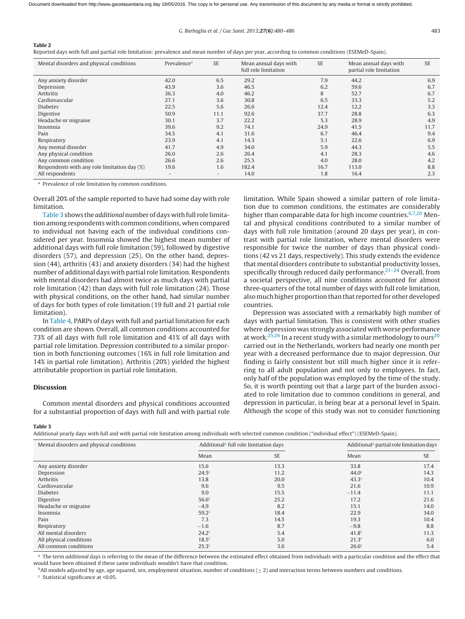G. Barbaglia et al. / Gac Sanit. 2013;**27(6)**:480-486 483

Reported days with full and partial role limitation: prevalence and mean number of days per year, according to common conditions (ESEMeD-Spain).

| Mental disorders and physical conditions        | Prevalence <sup>a</sup>  | <b>SE</b>                | Mean annual days with<br>full role limitation | <b>SE</b> | Mean annual days with<br>partial role limitation | <b>SE</b> |
|-------------------------------------------------|--------------------------|--------------------------|-----------------------------------------------|-----------|--------------------------------------------------|-----------|
| Any anxiety disorder                            | 42.0                     | 6.5                      | 29.2                                          | 7.9       | 44.2                                             | 6.9       |
| Depression                                      | 43.9                     | 3.6                      | 46.5                                          | 6.2       | 59.6                                             | 6.7       |
| Arthritis                                       | 36.3                     | 4.0                      | 46.2                                          | 8         | 52.7                                             | 6.7       |
| Cardiovascular                                  | 27.1                     | 3.6                      | 30.8                                          | 6.5       | 33.3                                             | 5.2       |
| <b>Diabetes</b>                                 | 22.5                     | 5.6                      | 26.6                                          | 12.4      | 12.2                                             | 3.3       |
| Digestive                                       | 50.9                     | 11.1                     | 92.6                                          | 37.7      | 28.8                                             | 6.3       |
| Headache or migraine                            | 30.1                     | 3.7                      | 22.2                                          | 5.3       | 28.9                                             | 4.9       |
| Insomnia                                        | 39.6                     | 9.2                      | 74.1                                          | 24.9      | 41.5                                             | 11.7      |
| Pain                                            | 34.5                     | 4.1                      | 31.6                                          | 6.7       | 46.4                                             | 9.4       |
| Respiratory                                     | 23.9                     | 4.1                      | 14.3                                          | 5.1       | 22.6                                             | 6.9       |
| Any mental disorder                             | 41.7                     | 4.9                      | 34.0                                          | 5.9       | 44.3                                             | 5.5       |
| Any physical condition                          | 26.0                     | 2.6                      | 26.4                                          | 4.1       | 28.3                                             | 4.6       |
| Any common condition                            | 26.6                     | 2.6                      | 25.5                                          | 4.0       | 28.0                                             | 4.2       |
| Respondents with any role limitation day $(\%)$ | 19.6                     | 1.6                      | 182.4                                         | 16.7      | 113.0                                            | 8.8       |
| All respondents                                 | $\overline{\phantom{0}}$ | $\overline{\phantom{0}}$ | 14.0                                          | 1.8       | 16.4                                             | 2.3       |

<sup>a</sup> Prevalence of role limitation by common conditions.

Overall 20% of the sample reported to have had some day with role limitation.

Table 3 shows the additional number of days with full role limitation among respondents with common conditions, when compared to individual not having each of the individual conditions considered per year. Insomnia showed the highest mean number of additional days with full role limitation (59), followed by digestive disorders (57), and depression (25). On the other hand, depression (44), arthritis (43) and anxiety disorders (34) had the highest number of additional days with partial role limitation. Respondents with mental disorders had almost twice as much days with partial role limitation (42) than days with full role limitation (24). Those with physical conditions, on the other hand, had similar number of days for both types of role limitation (19 full and 21 partial role limitation).

In Table 4, PARPs of days with full and partial limitation for each condition are shown. Overall, all common conditions accounted for 73% of all days with full role limitation and 41% of all days with partial role limitation. Depression contributed to a similar proportion in both functioning outcomes (16% in full role limitation and 14% in partial role limitation). Arthritis (20%) yielded the highest attributable proportion in partial role limitation.

#### Discussion

Common mental disorders and physical conditions accounted for a substantial proportion of days with full and with partial role limitation. While Spain showed a similar pattern of role limitation due to common conditions, the estimates are considerably higher than comparable data for high income countries.  $6,7,20$  Mental and physical conditions contributed to a similar number of days with full role limitation (around 20 days per year), in contrast with partial role limitation, where mental disorders were responsible for twice the number of days than physical conditions (42 vs 21 days, respectively). This study extends the evidence that mental disorders contribute to substantial productivity losses, specifically through reduced daily performance. $2^{1-24}$  Overall, from a societal perspective, all nine conditions accounted for almost three-quarters of the total number of days with full role limitation, alsomuch higher proportion than that reported for other developed countries.

Depression was associated with a remarkably high number of days with partial limitation. This is consistent with other studies where depression was strongly associated with worse performance at work.<sup>25,26</sup> In a recent study with a similar methodology to ours<sup>20</sup> carried out in the Netherlands, workers had nearly one month per year with a decreased performance due to major depression. Our finding is fairly consistent but still much higher since it is referring to all adult population and not only to employees. In fact, only half of the population was employed by the time of the study. So, it is worth pointing out that a large part of the burden associated to role limitation due to common conditions in general, and depression in particular, is being bear at a personal level in Spain. Although the scope of this study was not to consider functioning

#### Table 3

Additional yearly days with full and with partial role limitation among individuals with selected common condition ("individual effect") (ESEMeD-Spain).

| Mental disorders and physical conditions | Additional <sup>a</sup> full role limitation days |           | Additional <sup>a</sup> partial role limitation days |           |
|------------------------------------------|---------------------------------------------------|-----------|------------------------------------------------------|-----------|
|                                          |                                                   |           |                                                      |           |
|                                          | Mean                                              | <b>SE</b> | Mean                                                 | <b>SE</b> |
| Any anxiety disorder                     | 15.6                                              | 13.3      | 33.8                                                 | 17.4      |
| Depression                               | 24.5 <sup>c</sup>                                 | 11.2      | 44.0 <sup>c</sup>                                    | 14.3      |
| Arthritis                                | 13.8                                              | 20.0      | 43.3 <sup>c</sup>                                    | 10.4      |
| Cardiovascular                           | 9.6                                               | 9.5       | 21.6                                                 | 10.9      |
| <b>Diabetes</b>                          | 9.0                                               | 15.5      | $-11.4$                                              | 11.1      |
| Digestive                                | 56.6 <sup>c</sup>                                 | 25.2      | 17.2                                                 | 21.6      |
| Headache or migraine                     | $-4.9$                                            | 8.2       | 15.1                                                 | 14.0      |
| Insomnia                                 | 59.2 <sup>c</sup>                                 | 18.4      | 22.9                                                 | 34.0      |
| Pain                                     | 7.3                                               | 14.5      | 19.3                                                 | 10.4      |
| Respiratory                              | $-1.6$                                            | 8.7       | $-9.8$                                               | 8.8       |
| All mental disorders                     | 24.2 <sup>c</sup>                                 | 5.4       | 41.8 <sup>c</sup>                                    | 11.3      |
| All physical conditions                  | 18.5 <sup>c</sup>                                 | 5.0       | 21.3 <sup>c</sup>                                    | 6.0       |
| All common conditions                    | 25.3 <sup>c</sup>                                 | 3.6       | 26.6 <sup>c</sup>                                    | 5.4       |

a The term additional days is referring to the mean of the difference between the estimated effect obtained from individuals with a particular condition and the effect that would have been obtained if these same individuals wouldn't have that condition.

<sup>b</sup>All models adjusted by age, age squared, sex, employment situation, number of conditions (≥ 2) and interaction terms between numbers and conditions.

<sup>c</sup> Statistical significance at <0.05.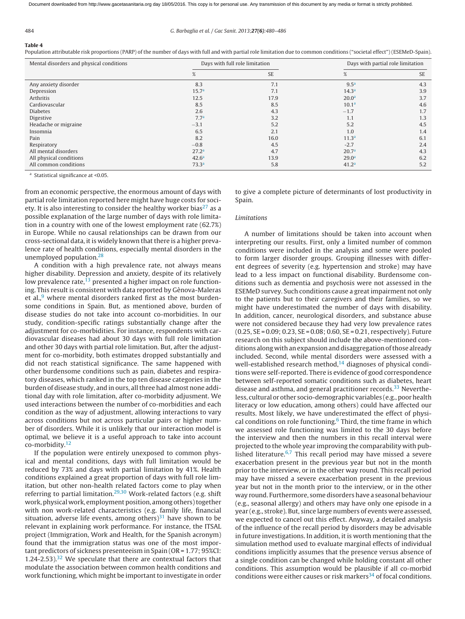#### 484 G. Barbaglia et al. / Gac Sanit. 2013;27(6):480–486

Table 4

Population attributable risk proportions (PARP) of the number of days with full and with partial role limitation due to common conditions ("societal effect") (ESEMeD-Spain).

| Mental disorders and physical conditions | Days with full role limitation |           | Days with partial role limitation |           |
|------------------------------------------|--------------------------------|-----------|-----------------------------------|-----------|
|                                          | %                              | <b>SE</b> | %                                 | <b>SE</b> |
| Any anxiety disorder                     | 8.3                            | 7.1       | 9.5 <sup>a</sup>                  | 4.3       |
| Depression                               | 15.7 <sup>a</sup>              | 7.1       | 14.3 <sup>a</sup>                 | 3.9       |
| Arthritis                                | 12.5                           | 17.9      | 20.0 <sup>a</sup>                 | 3.7       |
| Cardiovascular                           | 8.5                            | 8.5       | 10.1 <sup>a</sup>                 | 4.6       |
| <b>Diabetes</b>                          | 2.6                            | 4.3       | $-1.7$                            | 1.7       |
| Digestive                                | 7.7 <sup>a</sup>               | 3.2       | 1.1                               | 1.3       |
| Headache or migraine                     | $-3.1$                         | 5.2       | 5.2                               | 4.5       |
| Insomnia                                 | 6.5                            | 2.1       | 1.0                               | 1.4       |
| Pain                                     | 8.2                            | 16.0      | 11.3 <sup>a</sup>                 | 6.1       |
| Respiratory                              | $-0.8$                         | 4.5       | $-2.7$                            | 2.4       |
| All mental disorders                     | 27.2 <sup>a</sup>              | 4.7       | 20.7 <sup>a</sup>                 | 4.3       |
| All physical conditions                  | 42.6 <sup>a</sup>              | 13.9      | 29.0 <sup>a</sup>                 | 6.2       |
| All common conditions                    | 73.3 <sup>a</sup>              | 5.8       | 41.2 <sup>a</sup>                 | 5.2       |

<sup>a</sup> Statistical significance at <0.05.

from an economic perspective, the enormous amount of days with partial role limitation reported here might have huge costs for society. It is also interesting to consider the healthy worker bias<sup>27</sup> as a possible explanation of the large number of days with role limitation in a country with one of the lowest employment rate (62.7%) in Europe. While no causal relationships can be drawn from our cross-sectional data, it is widely known that there is a higher prevalence rate of health conditions, especially mental disorders in the unemployed population.<sup>28</sup>

A condition with a high prevalence rate, not always means higher disability. Depression and anxiety, despite of its relatively low prevalence rate, $13$  presented a higher impact on role functioning. This result is consistent with data reported by Gènova-Maleras et al., $9$  where mental disorders ranked first as the most burdensome conditions in Spain. But, as mentioned above, burden of disease studies do not take into account co-morbidities. In our study, condition-specific ratings substantially change after the adjustment for co-morbidities. For instance, respondents with cardiovascular diseases had about 30 days with full role limitation and other 30 days with partial role limitation. But, after the adjustment for co-morbidity, both estimates dropped substantially and did not reach statistical significance. The same happened with other burdensome conditions such as pain, diabetes and respiratory diseases, which ranked in the top ten disease categories in the burden of disease study, and in ours, all three had almost none additional day with role limitation, after co-morbidity adjusment. We used interactions between the number of co-morbidities and each condition as the way of adjustment, allowing interactions to vary across conditions but not across particular pairs or higher number of disorders. While it is unlikely that our interaction model is optimal, we believe it is a useful approach to take into account co-morbidity.<sup>12</sup>

If the population were entirely unexposed to common physical and mental conditions, days with full limitation would be reduced by 73% and days with partial limitation by 41%. Health conditions explained a great proportion of days with full role limitation, but other non-health related factors come to play when referring to partial limitation.<sup>29,30</sup> Work-related factors (e.g. shift work, physical work, employment position, among others) together with non work-related characteristics (e.g. family life, financial situation, adverse life events, among others) $31$  have shown to be relevant in explaining work performance. For instance, the ITSAL project (Immigration, Work and Health, for the Spanish acronym) found that the immigration status was one of the most important predictors of sickness presenteeism in Spain (OR = 1.77; 95%CI: 1.24-2.53).<sup>32</sup> We speculate that there are contextual factors that modulate the association between common health conditions and work functioning, which might be important to investigate in order

to give a complete picture of determinants of lost productivity in Spain.

#### **Limitations**

A number of limitations should be taken into account when interpreting our results. First, only a limited number of common conditions were included in the analysis and some were pooled to form larger disorder groups. Grouping illnesses with different degrees of severity (e.g. hypertension and stroke) may have lead to a less impact on functional disability. Burdensome conditions such as dementia and psychosis were not assessed in the ESEMeD survey. Such conditions cause a great impairment not only to the patients but to their caregivers and their families, so we might have underestimated the number of days with disability. In addition, cancer, neurological disorders, and substance abuse were not considered because they had very low prevalence rates  $(0.25, SE = 0.09; 0.23, SE = 0.08; 0.60, SE = 0.21, respectively)$ . Future research on this subject should include the above-mentioned conditions along with an expansion and disaggregation of those already included. Second, while mental disorders were assessed with a well-established research method, $14$  diagnoses of physical conditions were self-reported. There is evidence of good correspondence between self-reported somatic conditions such as diabetes, heart disease and asthma, and general practitioner records.<sup>33</sup> Nevertheless, cultural or other socio-demographic variables (e.g., poor health literacy or low education, among others) could have affected our results. Most likely, we have underestimated the effect of physical conditions on role functioning.<sup>6</sup> Third, the time frame in which we assessed role functioning was limited to the 30 days before the interview and then the numbers in this recall interval were projected to the whole year improving the comparability with published literature. $6,7$  This recall period may have missed a severe exacerbation present in the previous year but not in the month prior to the interview, or in the other way round. This recall period may have missed a severe exacerbation present in the previous year but not in the month prior to the interview, or in the other way round. Furthermore, some disorders have a seasonal behaviour (e.g., seasonal allergy) and others may have only one episode in a year (e.g., stroke). But, since large numbers of events were assessed, we expected to cancel out this effect. Anyway, a detailed analysis of the influence of the recall period by disorders may be advisable in future investigations. In addition, it is worth mentioning that the simulation method used to evaluate marginal effects of individual conditions implicitly assumes that the presence versus absence of a single condition can be changed while holding constant all other conditions. This assumption would be plausible if all co-morbid conditions were either causes or risk markers $34$  of focal conditions.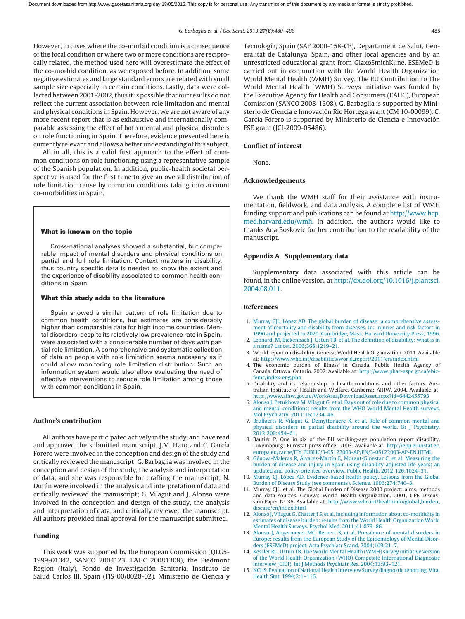However, in cases where the co-morbid condition is a consequence of the focal condition or where two or more conditions are reciprocally related, the method used here will overestimate the effect of the co-morbid condition, as we exposed before. In addition, some negative estimates and large standard errors are related with small sample size especially in certain conditions. Lastly, data were collected between 2001-2002, thus it is possible that our results do not reflect the current association between role limitation and mental and physical conditions in Spain. However, we are not aware of any more recent report that is as exhaustive and internationally comparable assessing the effect of both mental and physical disorders on role functioning in Spain. Therefore, evidence presented here is currently relevant and allows a better understanding of this subject.

All in all, this is a valid first approach to the effect of common conditions on role functioning using a representative sample of the Spanish population. In addition, public-health societal perspective is used for the first time to give an overall distribution of role limitation cause by common conditions taking into account co-morbidities in Spain.

#### What is known on the topic

Cross-national analyses showed a substantial, but comparable impact of mental disorders and physical conditions on partial and full role limitation. Context matters in disability, thus country specific data is needed to know the extent and the experience of disability associated to common health conditions in Spain.

#### What this study adds to the literature

Spain showed a similar pattern of role limitation due to common health conditions, but estimates are considerably higher than comparable data for high income countries. Mental disorders, despite its relatively low prevalence rate in Spain, were associated with a considerable number of days with partial role limitation. A comprehensive and systematic collection of data on people with role limitation seems necessary as it could allow monitoring role limitation distribution. Such an information system would also allow evaluating the need of effective interventions to reduce role limitation among those with common conditions in Spain.

#### Author's contribution

All authors have participated actively in the study, and have read and approved the submitted manuscript. J.M. Haro and C. García Forero were involved in the conception and design of the study and critically reviewed the manuscript; G. Barbaglia was involved in the conception and design of the study, the analysis and interpretation of data, and she was responsible for drafting the manuscript; N. Durán were involved in the analysis and interpretation of data and critically reviewed the manuscript; G. Vilagut and J. Alonso were involved in the conception and design of the study, the analysis and interpretation of data, and critically reviewed the manuscript. All authors provided final approval for the manuscript submitted.

#### Funding

This work was supported by the European Commission (QLG5- 1999-01042, SANCO 2004123, EAHC 20081308), the Piedmont Region (Italy), Fondo de Investigación Sanitaria, Instituto de Salud Carlos III, Spain (FIS 00/0028-02), Ministerio de Ciencia y

Tecnología, Spain (SAF 2000-158-CE), Departament de Salut, Generalitat de Catalunya, Spain, and other local agencies and by an unrestricted educational grant from GlaxoSmithKline. ESEMeD is carried out in conjunction with the World Health Organization World Mental Health (WMH) Survey. The EU Contribution to The World Mental Health (WMH) Surveys Initiative was funded by the Executive Agency for Health and Consumers (EAHC), European Comission (SANCO 2008-1308). G. Barbaglia is supported by Ministerio de Ciencia e Innovación Rio Hortega grant (CM 10-00099). C. García Forero is supported by Ministerio de Ciencia e Innovación FSE grant (JCI-2009-05486).

#### Conflict of interest

None.

#### Acknowledgements

We thank the WMH staff for their assistance with instrumentation, fieldwork, and data analysis. A complete list of WMH funding support and publications can be found at http://www.hcp. med.harvard.edu/wmh. In addition, the authors would like to thanks Ana Boskovic for her contribution to the readability of the manuscript.

#### Appendix A. Supplementary data

Supplementary data associated with this article can be found, in the online version, at http://dx.doi.org/10.1016/j.plantsci. 2004.08.011.

#### References

- 1. Murray CJL, López AD. The global burden of disease: a comprehensive assessment of mortality and disability from diseases. In: injuries and risk factors in 1990 and projected to 2020. Cambridge, Mass: Harvard University Press; 1996.
- 2. Leonardi M, Bickenbach J, Ustun TB, et al. The definition of disability: what is in a name? Lancet. 2006;368:1219–21.
- 3. World report on disability. Geneva: World Health Organization. 2011. Available at: http://www.who.int/disabilities/world\_report/2011/en/index.html
- 4. The economic burden of illness in Canada. Public Health Agency of Canada. Ottawa, Ontario. 2002. Available at: http://www.phac-aspc.gc.ca/ebicfemc/index-eng.php
- 5. Disability and its relationship to health conditions and other factors. Australian Institute of Health and Welfare. Canberra: AIHW. 2004. Available at: http://www.aihw.gov.au/WorkArea/DownloadAsset.aspx?id=6442455793
- 6. Alonso J, Petukhova M, Vilagut G, et al. Days out of role due to common physical and mental conditions: results from the WHO World Mental Health surveys. Mol Psychiatry. 2011;16:1234–46.
- 7. Bruffaerts R, Vilagut G, Demyttenaere K, et al. Role of common mental and physical disorders in partial disability around the world. Br J Psychiatry. 2012;200:454–61.
- 8. Bautier P. One in six of the EU working-age population report disability. Luxembourg: Eurostat press office; 2003. Available at: http://epp.eurostat.ec. europa.eu/cache/ITY PUBLIC/3-05122003-AP/EN/3-05122003-AP-EN.HTML
- 9. Génova-Maleras R, Álvarez-Martín E, Morant-Ginestar C, et al. Measuring the burden of disease and injury in Spain using disability-adjusted life years: an updated and policy-oriented overview. Public Health. 2012;126:1024–31.
- 10. Murray CJ, López AD. Evidence-based health policy. Lessons from the Global Burden of Disease Study (see comments). Science. 1996;274:740–3.
- 11. Murray CJL, et al. The Global Burden of Disease 2000 project: aims, methods and data sources. Geneva: World Health Organization. 2001. GPE Discussion Paper N◦ 36. Available at: http://www.who.int/healthinfo/global burden disease/en/index.html
- 12. Alonso J, Vilagut G, Chatterji S, et al. Including information about co-morbidity in estimates of disease burden: results from the World Health Organization World Mental Health Surveys. Psychol Med. 2011;41:873–86.
- 13. Alonso J, Angermeyer MC, Bernert S, et al. Prevalence of mental disorders in Europe: results from the European Study of the Epidemiology of Mental Disorders (ESEMeD) project. Acta Psychiatr Scand. 2004;109:21–7.
- 14. Kessler RC, Ustun TB. The World Mental Health (WMH) survey initiative version of the World Health Organization (WHO) Composite International Diagnostic Interview (CIDI). Int J Methods Psychiatr Res. 2004;13:93–121.
- 15. NCHS. Evaluation of National Health Interview Survey diagnostic reporting.Vital Health Stat. 1994;2:1–116.